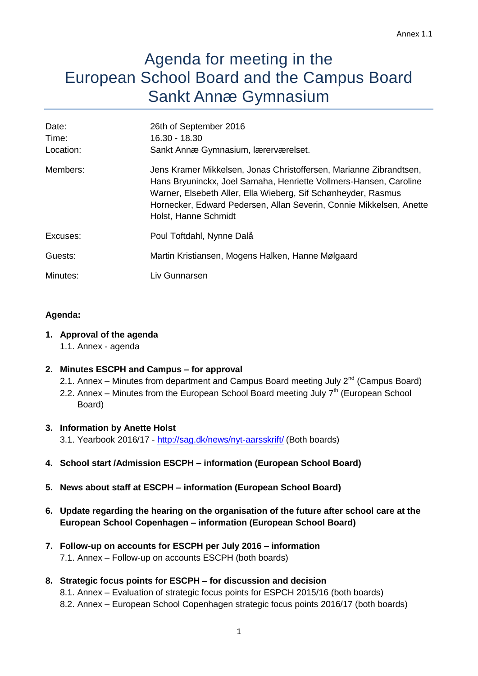# Agenda for meeting in the European School Board and the Campus Board Sankt Annæ Gymnasium

| 26th of September 2016<br>16.30 - 18.30<br>Sankt Annæ Gymnasium, lærerværelset.                                                                                                                                                                                                                         |
|---------------------------------------------------------------------------------------------------------------------------------------------------------------------------------------------------------------------------------------------------------------------------------------------------------|
| Jens Kramer Mikkelsen, Jonas Christoffersen, Marianne Zibrandtsen,<br>Hans Bryuninckx, Joel Samaha, Henriette Vollmers-Hansen, Caroline<br>Warner, Elsebeth Aller, Ella Wieberg, Sif Schønheyder, Rasmus<br>Hornecker, Edward Pedersen, Allan Severin, Connie Mikkelsen, Anette<br>Holst, Hanne Schmidt |
| Poul Toftdahl, Nynne Dalå                                                                                                                                                                                                                                                                               |
| Martin Kristiansen, Mogens Halken, Hanne Mølgaard                                                                                                                                                                                                                                                       |
| Liv Gunnarsen                                                                                                                                                                                                                                                                                           |
|                                                                                                                                                                                                                                                                                                         |

## **Agenda:**

## **1. Approval of the agenda**

1.1. Annex - agenda

# **2. Minutes ESCPH and Campus – for approval**

- 2.1. Annex Minutes from department and Campus Board meeting July 2<sup>nd</sup> (Campus Board)
- 2.2. Annex Minutes from the European School Board meeting July  $7<sup>th</sup>$  (European School Board)

# **3. Information by Anette Holst**

3.1. Yearbook 2016/17 - <http://sag.dk/news/nyt-aarsskrift/> (Both boards)

- **4. School start /Admission ESCPH – information (European School Board)**
- **5. News about staff at ESCPH – information (European School Board)**
- **6. Update regarding the hearing on the organisation of the future after school care at the European School Copenhagen – information (European School Board)**
- **7. Follow-up on accounts for ESCPH per July 2016 – information** 7.1. Annex – Follow-up on accounts ESCPH (both boards)

# **8. Strategic focus points for ESCPH – for discussion and decision**

8.1. Annex – Evaluation of strategic focus points for ESPCH 2015/16 (both boards) 8.2. Annex – European School Copenhagen strategic focus points 2016/17 (both boards)